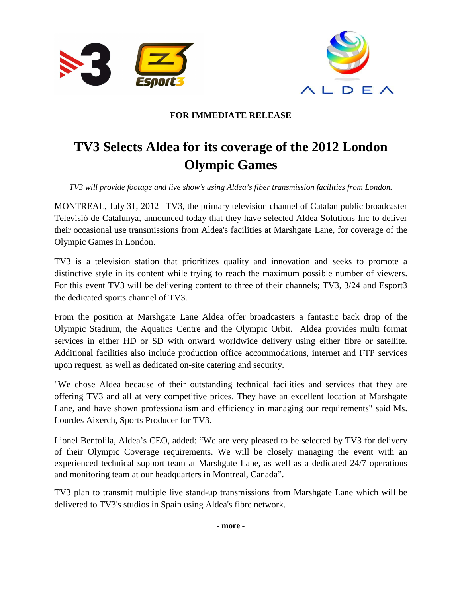



## **FOR IMMEDIATE RELEASE**

## **TV3 Selects Aldea for its coverage of the 2012 London Olympic Games**

*TV3 will provide footage and live show's using Aldea's fiber transmission facilities from London.* 

MONTREAL, July 31, 2012 –TV3, the primary television channel of Catalan public broadcaster Televisió de Catalunya, announced today that they have selected Aldea Solutions Inc to deliver their occasional use transmissions from Aldea's facilities at Marshgate Lane, for coverage of the Olympic Games in London.

TV3 is a television station that prioritizes quality and innovation and seeks to promote a distinctive style in its content while trying to reach the maximum possible number of viewers. For this event TV3 will be delivering content to three of their channels; TV3, 3/24 and Esport3 the dedicated sports channel of TV3.

From the position at Marshgate Lane Aldea offer broadcasters a fantastic back drop of the Olympic Stadium, the Aquatics Centre and the Olympic Orbit. Aldea provides multi format services in either HD or SD with onward worldwide delivery using either fibre or satellite. Additional facilities also include production office accommodations, internet and FTP services upon request, as well as dedicated on-site catering and security.

"We chose Aldea because of their outstanding technical facilities and services that they are offering TV3 and all at very competitive prices. They have an excellent location at Marshgate Lane, and have shown professionalism and efficiency in managing our requirements" said Ms. Lourdes Aixerch, Sports Producer for TV3.

Lionel Bentolila, Aldea's CEO, added: "We are very pleased to be selected by TV3 for delivery of their Olympic Coverage requirements. We will be closely managing the event with an experienced technical support team at Marshgate Lane, as well as a dedicated 24/7 operations and monitoring team at our headquarters in Montreal, Canada".

TV3 plan to transmit multiple live stand-up transmissions from Marshgate Lane which will be delivered to TV3's studios in Spain using Aldea's fibre network.

**- more -**